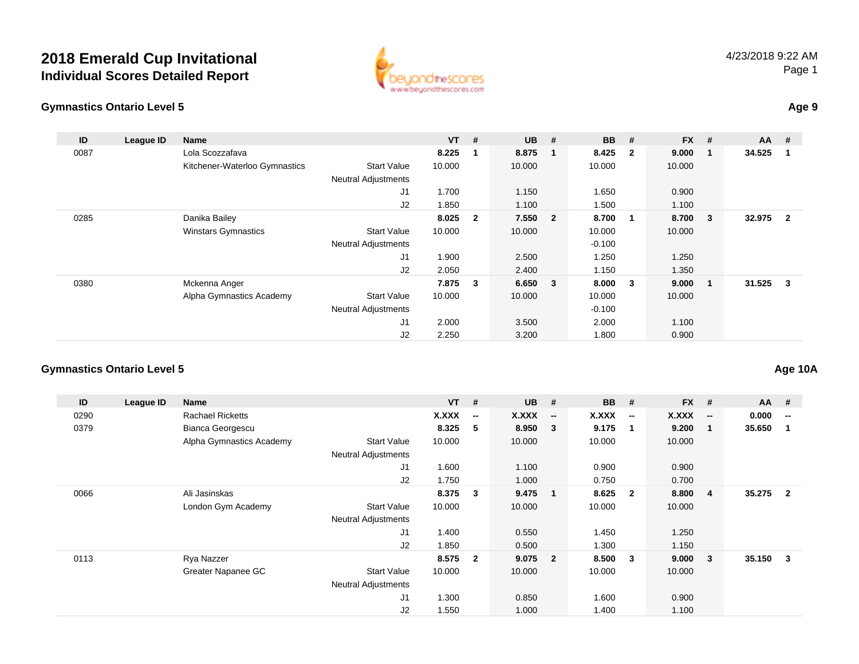

#### **Gymnastics Ontario Level 5**

| ID   | League ID | <b>Name</b>                   |                            | $VT$ #  |                | $UB$ #  |              | <b>BB</b> | #                       | $FX$ # |                         | $AA$ #     |                         |
|------|-----------|-------------------------------|----------------------------|---------|----------------|---------|--------------|-----------|-------------------------|--------|-------------------------|------------|-------------------------|
| 0087 |           | Lola Scozzafava               |                            | 8.225   | $\mathbf 1$    | 8.875   | $\mathbf{1}$ | 8.425     | $\overline{\mathbf{2}}$ | 9.000  |                         | 34.525     | $\blacksquare$          |
|      |           | Kitchener-Waterloo Gymnastics | <b>Start Value</b>         | 10.000  |                | 10.000  |              | 10.000    |                         | 10.000 |                         |            |                         |
|      |           |                               | <b>Neutral Adjustments</b> |         |                |         |              |           |                         |        |                         |            |                         |
|      |           |                               | J1                         | 1.700   |                | 1.150   |              | 1.650     |                         | 0.900  |                         |            |                         |
|      |           |                               | J2                         | 1.850   |                | 1.100   |              | 1.500     |                         | 1.100  |                         |            |                         |
| 0285 |           | Danika Bailey                 |                            | 8.025   | $\overline{2}$ | 7.550 2 |              | 8.700     | -1                      | 8.700  | $\overline{\mathbf{3}}$ | 32.975     | $\overline{\mathbf{2}}$ |
|      |           | <b>Winstars Gymnastics</b>    | <b>Start Value</b>         | 10.000  |                | 10.000  |              | 10.000    |                         | 10.000 |                         |            |                         |
|      |           |                               | <b>Neutral Adjustments</b> |         |                |         |              | $-0.100$  |                         |        |                         |            |                         |
|      |           |                               | J1                         | 1.900   |                | 2.500   |              | 1.250     |                         | 1.250  |                         |            |                         |
|      |           |                               | J2                         | 2.050   |                | 2.400   |              | 1.150     |                         | 1.350  |                         |            |                         |
| 0380 |           | Mckenna Anger                 |                            | 7.875 3 |                | 6.650 3 |              | 8.000     | 3                       | 9.000  | -1                      | $31.525$ 3 |                         |
|      |           | Alpha Gymnastics Academy      | <b>Start Value</b>         | 10.000  |                | 10.000  |              | 10.000    |                         | 10.000 |                         |            |                         |
|      |           |                               | <b>Neutral Adjustments</b> |         |                |         |              | $-0.100$  |                         |        |                         |            |                         |
|      |           |                               | J1                         | 2.000   |                | 3.500   |              | 2.000     |                         | 1.100  |                         |            |                         |
|      |           |                               | J <sub>2</sub>             | 2.250   |                | 3.200   |              | 1.800     |                         | 0.900  |                         |            |                         |

#### **Gymnastics Ontario Level 5**

| ID   | League ID | <b>Name</b>              |                            | $VT$ # |                          | <b>UB</b> | #                        | <b>BB</b> | #                        | <b>FX</b> | #                        | $AA$ # |                          |
|------|-----------|--------------------------|----------------------------|--------|--------------------------|-----------|--------------------------|-----------|--------------------------|-----------|--------------------------|--------|--------------------------|
| 0290 |           | <b>Rachael Ricketts</b>  |                            | X.XXX  | $\overline{\phantom{a}}$ | X.XXX     | $\overline{\phantom{a}}$ | X.XXX     | $\overline{\phantom{a}}$ | X.XXX     | $\overline{\phantom{a}}$ | 0.000  | $\overline{\phantom{a}}$ |
| 0379 |           | Bianca Georgescu         |                            | 8.325  | 5                        | 8.950     | $\overline{\mathbf{3}}$  | 9.175     | $\mathbf{1}$             | 9.200     |                          | 35.650 |                          |
|      |           | Alpha Gymnastics Academy | <b>Start Value</b>         | 10.000 |                          | 10.000    |                          | 10.000    |                          | 10.000    |                          |        |                          |
|      |           |                          | <b>Neutral Adjustments</b> |        |                          |           |                          |           |                          |           |                          |        |                          |
|      |           |                          | J1                         | 1.600  |                          | 1.100     |                          | 0.900     |                          | 0.900     |                          |        |                          |
|      |           |                          | J <sub>2</sub>             | 1.750  |                          | 1.000     |                          | 0.750     |                          | 0.700     |                          |        |                          |
| 0066 |           | Ali Jasinskas            |                            | 8.375  | 3                        | 9.475     | $\blacksquare$           | 8.625     | $\overline{2}$           | 8.800     | 4                        | 35.275 | $\overline{2}$           |
|      |           | London Gym Academy       | <b>Start Value</b>         | 10.000 |                          | 10.000    |                          | 10.000    |                          | 10.000    |                          |        |                          |
|      |           |                          | <b>Neutral Adjustments</b> |        |                          |           |                          |           |                          |           |                          |        |                          |
|      |           |                          | J1                         | 1.400  |                          | 0.550     |                          | 1.450     |                          | 1.250     |                          |        |                          |
|      |           |                          | J <sub>2</sub>             | 1.850  |                          | 0.500     |                          | 1.300     |                          | 1.150     |                          |        |                          |
| 0113 |           | Rya Nazzer               |                            | 8.575  | $\overline{2}$           | 9.075     | $\overline{\mathbf{2}}$  | 8.500     | 3                        | 9.000     | 3                        | 35.150 | 3                        |
|      |           | Greater Napanee GC       | <b>Start Value</b>         | 10.000 |                          | 10.000    |                          | 10.000    |                          | 10.000    |                          |        |                          |
|      |           |                          | <b>Neutral Adjustments</b> |        |                          |           |                          |           |                          |           |                          |        |                          |
|      |           |                          | J1                         | 1.300  |                          | 0.850     |                          | 1.600     |                          | 0.900     |                          |        |                          |
|      |           |                          | J <sub>2</sub>             | 1.550  |                          | 1.000     |                          | 1.400     |                          | 1.100     |                          |        |                          |

**Age 10A**

**Age 9**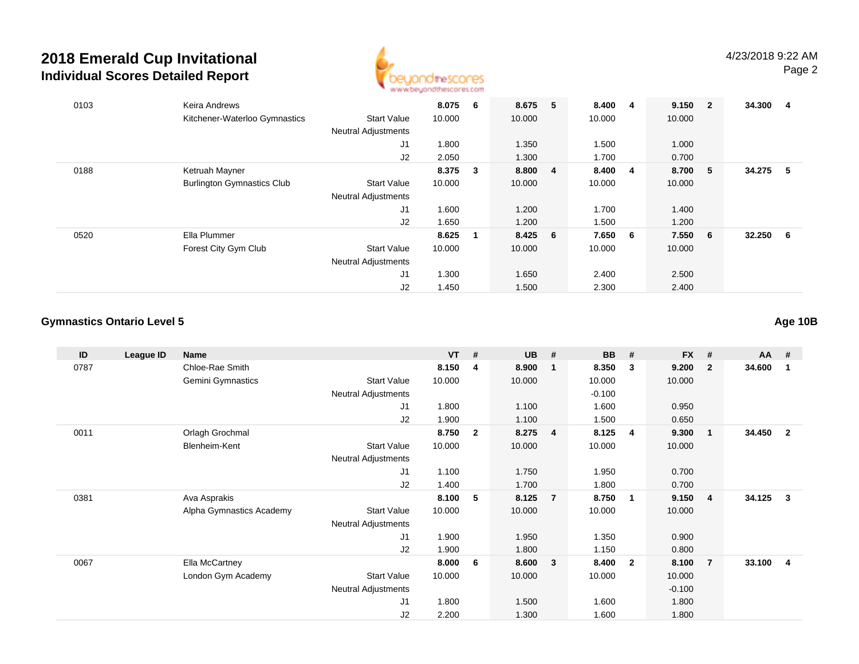

| 0103 | Keira Andrews                     |                            | 8.075 6 |              | 8.675   | 5 | 8.400   | 4 | 9.150  | $\overline{\mathbf{2}}$ | 34.300 | -4  |
|------|-----------------------------------|----------------------------|---------|--------------|---------|---|---------|---|--------|-------------------------|--------|-----|
|      | Kitchener-Waterloo Gymnastics     | <b>Start Value</b>         | 10.000  |              | 10.000  |   | 10.000  |   | 10.000 |                         |        |     |
|      |                                   | <b>Neutral Adjustments</b> |         |              |         |   |         |   |        |                         |        |     |
|      |                                   | J <sub>1</sub>             | 1.800   |              | 1.350   |   | 1.500   |   | 1.000  |                         |        |     |
|      |                                   | J2                         | 2.050   |              | 1.300   |   | 1.700   |   | 0.700  |                         |        |     |
| 0188 | Ketruah Mayner                    |                            | 8.375   | $\mathbf{3}$ | 8.800 4 |   | 8.400 4 |   | 8.700  | - 5                     | 34.275 | -5  |
|      | <b>Burlington Gymnastics Club</b> | <b>Start Value</b>         | 10.000  |              | 10.000  |   | 10.000  |   | 10.000 |                         |        |     |
|      |                                   | <b>Neutral Adjustments</b> |         |              |         |   |         |   |        |                         |        |     |
|      |                                   | J <sub>1</sub>             | 1.600   |              | 1.200   |   | 1.700   |   | 1.400  |                         |        |     |
|      |                                   | J2                         | 1.650   |              | 1.200   |   | 1.500   |   | 1.200  |                         |        |     |
| 0520 | Ella Plummer                      |                            | 8.625   | -1           | 8.425 6 |   | 7.650   | 6 | 7.550  | 6                       | 32.250 | - 6 |
|      | Forest City Gym Club              | <b>Start Value</b>         | 10.000  |              | 10.000  |   | 10.000  |   | 10.000 |                         |        |     |
|      |                                   | <b>Neutral Adjustments</b> |         |              |         |   |         |   |        |                         |        |     |
|      |                                   | J <sub>1</sub>             | 1.300   |              | 1.650   |   | 2.400   |   | 2.500  |                         |        |     |
|      |                                   | J2                         | 1.450   |              | 1.500   |   | 2.300   |   | 2.400  |                         |        |     |

#### **Gymnastics Ontario Level 5**

**ID League ID Name VT # UB # BB # FX # AA #** 0787 Chloe-Rae Smith **8.150 <sup>4</sup> 8.900 <sup>1</sup> 8.350 <sup>3</sup> 9.200 <sup>2</sup> 34.600 <sup>1</sup>** Gemini Gymnastics Start Valuee 10.000 10.000 10.000 10.000 Neutral Adjustments $-0.100$ 1.600 J1 1.800 1.100 1.600 0.950 J2 1.900 1.100 1.500 0.650 0011 Orlagh Grochmal **8.750 <sup>2</sup> 8.275 <sup>4</sup> 8.125 <sup>4</sup> 9.300 <sup>1</sup> 34.450 <sup>2</sup>** Blenheim-Kent Start Valuee 10.000 10.000 10.000 10.000 Neutral Adjustments J1 1.100 1.750 1.950 0.700 J2 1.400 1.700 1.800 0.700 0381 Ava Asprakis **8.100 <sup>5</sup> 8.125 <sup>7</sup> 8.750 <sup>1</sup> 9.150 <sup>4</sup> 34.125 <sup>3</sup>** Alpha Gymnastics Academy Start Valuee 10.000 10.000 10.000 10.000 Neutral Adjustments J1 1.900 1.950 1.350 0.900 J2 1.900 1.800 1.150 0.800 0067 Ella McCartney **8.000 <sup>6</sup> 8.600 <sup>3</sup> 8.400 <sup>2</sup> 8.100 <sup>7</sup> 33.100 <sup>4</sup>** London Gym Academy Start Valuee 10.000 10.000 10.000 10.000 Neutral Adjustments $\sim$  -0.100 1.800 J1 1.800 1.500 1.600 1.800 J22.200 1.300 1.600 1.800

**Age 10B**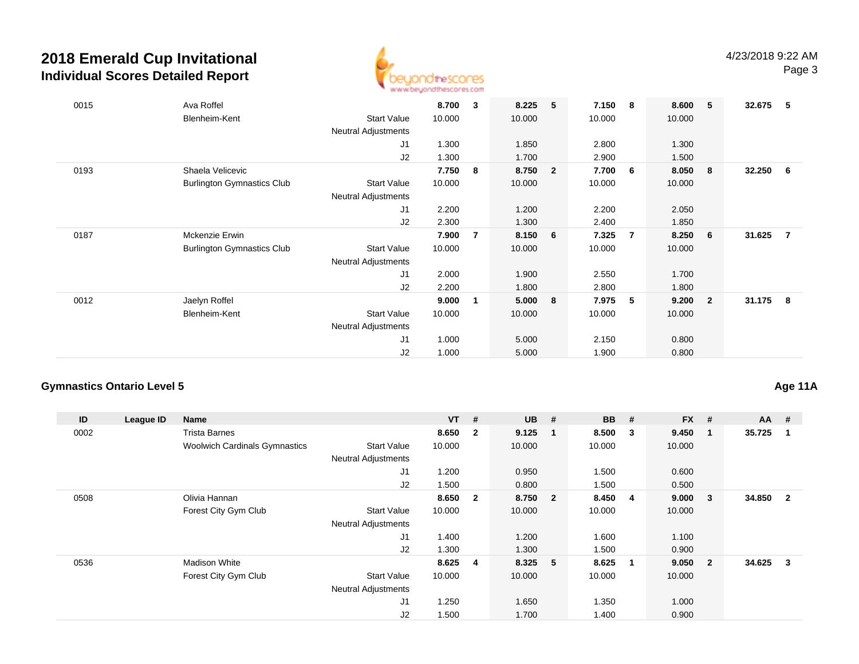

| 0015 | Ava Roffel<br>Blenheim-Kent       | <b>Start Value</b><br>Neutral Adjustments        | 8.700<br>10.000 | 3 | 8.225<br>10.000 | 5              | 7.150<br>10.000 | - 8            | 8.600<br>10.000 | -5                      | 32.675 | -5  |
|------|-----------------------------------|--------------------------------------------------|-----------------|---|-----------------|----------------|-----------------|----------------|-----------------|-------------------------|--------|-----|
|      |                                   | J <sub>1</sub>                                   | 1.300           |   | 1.850           |                | 2.800           |                | 1.300           |                         |        |     |
|      |                                   | J2                                               | 1.300           |   | 1.700           |                | 2.900           |                | 1.500           |                         |        |     |
| 0193 | Shaela Velicevic                  |                                                  | 7.750           | 8 | 8.750           | $\overline{2}$ | 7.700           | - 6            | 8.050           | - 8                     | 32.250 | - 6 |
|      | <b>Burlington Gymnastics Club</b> | <b>Start Value</b>                               | 10.000          |   | 10.000          |                | 10.000          |                | 10.000          |                         |        |     |
|      |                                   | Neutral Adjustments                              |                 |   |                 |                |                 |                |                 |                         |        |     |
|      |                                   | J1                                               | 2.200           |   | 1.200           |                | 2.200           |                | 2.050           |                         |        |     |
|      |                                   | J2                                               | 2.300           |   | 1.300           |                | 2.400           |                | 1.850           |                         |        |     |
| 0187 | <b>Mckenzie Erwin</b>             |                                                  | 7.900           | 7 | 8.150           | 6              | 7.325           | $\overline{7}$ | 8.250           | - 6                     | 31.625 | -7  |
|      | <b>Burlington Gymnastics Club</b> | <b>Start Value</b><br><b>Neutral Adjustments</b> | 10.000          |   | 10.000          |                | 10.000          |                | 10.000          |                         |        |     |
|      |                                   | J1                                               | 2.000           |   | 1.900           |                | 2.550           |                | 1.700           |                         |        |     |
|      |                                   | J2                                               | 2.200           |   | 1.800           |                | 2.800           |                | 1.800           |                         |        |     |
| 0012 | Jaelyn Roffel                     |                                                  | 9.000           | 1 | 5.000           | 8              | 7.975           | 5              | 9.200           | $\overline{\mathbf{2}}$ | 31.175 | -8  |
|      | Blenheim-Kent                     | <b>Start Value</b>                               | 10.000          |   | 10.000          |                | 10.000          |                | 10.000          |                         |        |     |
|      |                                   | Neutral Adjustments                              |                 |   |                 |                |                 |                |                 |                         |        |     |
|      |                                   | J1                                               | 1.000           |   | 5.000           |                | 2.150           |                | 0.800           |                         |        |     |
|      |                                   | J <sub>2</sub>                                   | 1.000           |   | 5.000           |                | 1.900           |                | 0.800           |                         |        |     |

### **Gymnastics Ontario Level 5**

**Age 11A**

| ID   | League ID | Name                                 |                            | $VT$ #  |                         | <b>UB</b> | #   | <b>BB</b> | #                       | <b>FX</b> | #              | $AA$ # |                |
|------|-----------|--------------------------------------|----------------------------|---------|-------------------------|-----------|-----|-----------|-------------------------|-----------|----------------|--------|----------------|
| 0002 |           | <b>Trista Barnes</b>                 |                            | 8.650   | $\overline{\mathbf{2}}$ | 9.125     | - 1 | 8.500     | $\overline{\mathbf{3}}$ | 9.450     | -1             | 35.725 |                |
|      |           | <b>Woolwich Cardinals Gymnastics</b> | <b>Start Value</b>         | 10.000  |                         | 10.000    |     | 10.000    |                         | 10.000    |                |        |                |
|      |           |                                      | <b>Neutral Adjustments</b> |         |                         |           |     |           |                         |           |                |        |                |
|      |           |                                      | J1                         | 1.200   |                         | 0.950     |     | 1.500     |                         | 0.600     |                |        |                |
|      |           |                                      | J2                         | 1.500   |                         | 0.800     |     | 1.500     |                         | 0.500     |                |        |                |
| 0508 |           | Olivia Hannan                        |                            | 8.650   | $\overline{\mathbf{2}}$ | 8.750 2   |     | 8.450     | 4                       | 9.000     | 3              | 34.850 | $\overline{2}$ |
|      |           | Forest City Gym Club                 | <b>Start Value</b>         | 10.000  |                         | 10.000    |     | 10.000    |                         | 10.000    |                |        |                |
|      |           |                                      | <b>Neutral Adjustments</b> |         |                         |           |     |           |                         |           |                |        |                |
|      |           |                                      | J1                         | 1.400   |                         | 1.200     |     | 1.600     |                         | 1.100     |                |        |                |
|      |           |                                      | J2                         | 1.300   |                         | 1.300     |     | 1.500     |                         | 0.900     |                |        |                |
| 0536 |           | <b>Madison White</b>                 |                            | 8.625 4 |                         | 8.325 5   |     | 8.625     | - 1                     | 9.050     | $\overline{2}$ | 34.625 | $\mathbf{3}$   |
|      |           | Forest City Gym Club                 | <b>Start Value</b>         | 10.000  |                         | 10.000    |     | 10.000    |                         | 10.000    |                |        |                |
|      |           |                                      | <b>Neutral Adjustments</b> |         |                         |           |     |           |                         |           |                |        |                |
|      |           |                                      | J <sub>1</sub>             | 1.250   |                         | 1.650     |     | 1.350     |                         | 1.000     |                |        |                |
|      |           |                                      | J <sub>2</sub>             | 1.500   |                         | 1.700     |     | 1.400     |                         | 0.900     |                |        |                |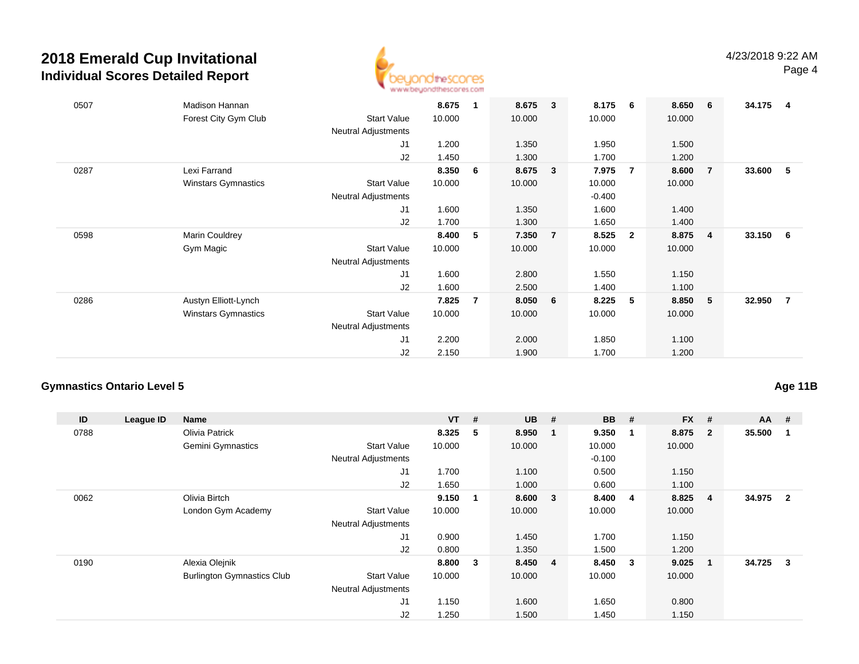

| 0507 | Madison Hannan<br>Forest City Gym Club | <b>Start Value</b><br><b>Neutral Adjustments</b> | 8.675<br>10.000 | 1              | 8.675<br>10.000 | 3              | 8.175<br>10.000 | 6                       | 8.650<br>10.000 | - 6            | 34.175 | -4             |
|------|----------------------------------------|--------------------------------------------------|-----------------|----------------|-----------------|----------------|-----------------|-------------------------|-----------------|----------------|--------|----------------|
|      |                                        | J1                                               | 1.200           |                | 1.350           |                | 1.950           |                         | 1.500           |                |        |                |
|      |                                        | J2                                               | 1.450           |                | 1.300           |                | 1.700           |                         | 1.200           |                |        |                |
| 0287 | Lexi Farrand                           |                                                  | 8.350           | 6              | 8.675           | 3              | 7.975           | $\overline{7}$          | 8.600           | 7              | 33.600 | - 5            |
|      | <b>Winstars Gymnastics</b>             | <b>Start Value</b>                               | 10.000          |                | 10.000          |                | 10.000          |                         | 10.000          |                |        |                |
|      |                                        | <b>Neutral Adjustments</b>                       |                 |                |                 |                | $-0.400$        |                         |                 |                |        |                |
|      |                                        | J1                                               | 1.600           |                | 1.350           |                | 1.600           |                         | 1.400           |                |        |                |
|      |                                        | J2                                               | 1.700           |                | 1.300           |                | 1.650           |                         | 1.400           |                |        |                |
| 0598 | Marin Couldrey                         |                                                  | 8.400           | 5              | 7.350           | $\overline{7}$ | 8.525           | $\overline{\mathbf{2}}$ | 8.875           | $\overline{4}$ | 33.150 | 6              |
|      | Gym Magic                              | <b>Start Value</b>                               | 10.000          |                | 10.000          |                | 10.000          |                         | 10.000          |                |        |                |
|      |                                        | <b>Neutral Adjustments</b>                       |                 |                |                 |                |                 |                         |                 |                |        |                |
|      |                                        | J <sub>1</sub>                                   | 1.600           |                | 2.800           |                | 1.550           |                         | 1.150           |                |        |                |
|      |                                        | J2                                               | 1.600           |                | 2.500           |                | 1.400           |                         | 1.100           |                |        |                |
| 0286 | Austyn Elliott-Lynch                   |                                                  | 7.825           | $\overline{7}$ | 8.050           | 6              | 8.225           | 5                       | 8.850           | $-5$           | 32.950 | $\overline{7}$ |
|      | <b>Winstars Gymnastics</b>             | <b>Start Value</b>                               | 10.000          |                | 10.000          |                | 10.000          |                         | 10.000          |                |        |                |
|      |                                        | Neutral Adjustments                              |                 |                |                 |                |                 |                         |                 |                |        |                |
|      |                                        | J <sub>1</sub>                                   | 2.200           |                | 2.000           |                | 1.850           |                         | 1.100           |                |        |                |
|      |                                        | J2                                               | 2.150           |                | 1.900           |                | 1.700           |                         | 1.200           |                |        |                |

### **Gymnastics Ontario Level 5**

**Age 11B**

| ID   | League ID | Name                              |                            | $VT$ # |                         | <b>UB</b> | - #                     | BB       | #                       | <b>FX</b> | #              | $AA$ #   |                |
|------|-----------|-----------------------------------|----------------------------|--------|-------------------------|-----------|-------------------------|----------|-------------------------|-----------|----------------|----------|----------------|
| 0788 |           | Olivia Patrick                    |                            | 8.325  | -5                      | 8.950     | $\blacksquare$ 1        | 9.350    | $\overline{\mathbf{1}}$ | 8.875     | $\overline{2}$ | 35.500   |                |
|      |           | Gemini Gymnastics                 | <b>Start Value</b>         | 10.000 |                         | 10.000    |                         | 10.000   |                         | 10.000    |                |          |                |
|      |           |                                   | <b>Neutral Adjustments</b> |        |                         |           |                         | $-0.100$ |                         |           |                |          |                |
|      |           |                                   | J <sub>1</sub>             | 1.700  |                         | 1.100     |                         | 0.500    |                         | 1.150     |                |          |                |
|      |           |                                   | J2                         | 1.650  |                         | 1.000     |                         | 0.600    |                         | 1.100     |                |          |                |
| 0062 |           | Olivia Birtch                     |                            | 9.150  | $\mathbf 1$             | 8.600     | $\overline{\mathbf{3}}$ | 8.400    | -4                      | 8.825     | 4              | 34.975   | $\overline{2}$ |
|      |           | London Gym Academy                | <b>Start Value</b>         | 10.000 |                         | 10.000    |                         | 10.000   |                         | 10.000    |                |          |                |
|      |           |                                   | <b>Neutral Adjustments</b> |        |                         |           |                         |          |                         |           |                |          |                |
|      |           |                                   | J <sub>1</sub>             | 0.900  |                         | 1.450     |                         | 1.700    |                         | 1.150     |                |          |                |
|      |           |                                   | J2                         | 0.800  |                         | 1.350     |                         | 1.500    |                         | 1.200     |                |          |                |
| 0190 |           | Alexia Olejnik                    |                            | 8.800  | $\overline{\mathbf{3}}$ | 8.450 4   |                         | 8.450    | - 3                     | 9.025     |                | 34.725 3 |                |
|      |           | <b>Burlington Gymnastics Club</b> | <b>Start Value</b>         | 10.000 |                         | 10.000    |                         | 10.000   |                         | 10.000    |                |          |                |
|      |           |                                   | <b>Neutral Adjustments</b> |        |                         |           |                         |          |                         |           |                |          |                |
|      |           |                                   | J <sub>1</sub>             | 1.150  |                         | 1.600     |                         | 1.650    |                         | 0.800     |                |          |                |
|      |           |                                   | J2                         | 1.250  |                         | 1.500     |                         | 1.450    |                         | 1.150     |                |          |                |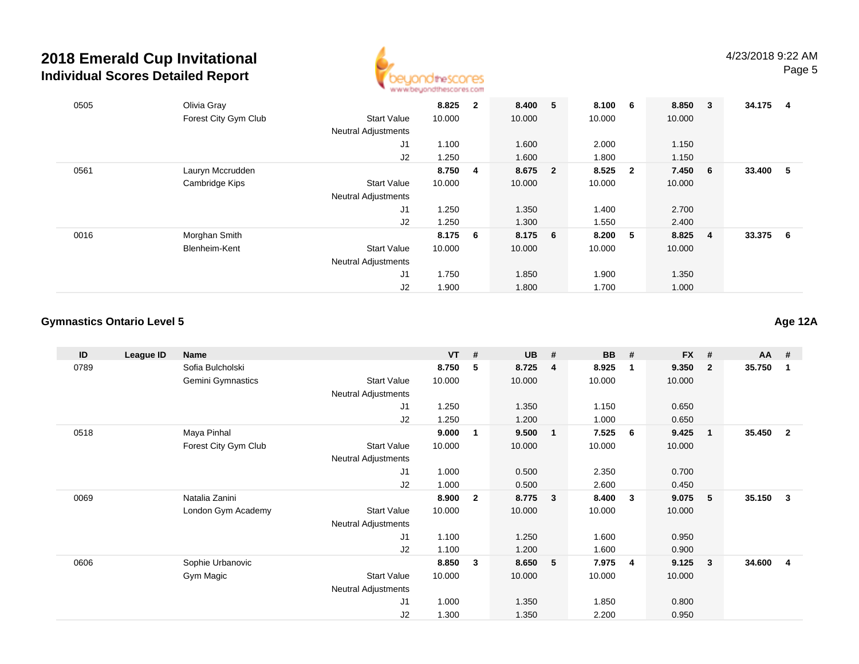

| 0505 | Olivia Gray          |                            | 8.825   | $\overline{2}$ | 8.400 5 |                         | 8.100 6 |                         | 8.850  | $\overline{\mathbf{3}}$ | 34.175 | 4  |
|------|----------------------|----------------------------|---------|----------------|---------|-------------------------|---------|-------------------------|--------|-------------------------|--------|----|
|      | Forest City Gym Club | <b>Start Value</b>         | 10.000  |                | 10.000  |                         | 10.000  |                         | 10.000 |                         |        |    |
|      |                      | <b>Neutral Adjustments</b> |         |                |         |                         |         |                         |        |                         |        |    |
|      |                      | J1                         | 1.100   |                | 1.600   |                         | 2.000   |                         | 1.150  |                         |        |    |
|      |                      | J2                         | 1.250   |                | 1.600   |                         | 1.800   |                         | 1.150  |                         |        |    |
| 0561 | Lauryn Mccrudden     |                            | 8.750   | $\overline{4}$ | 8.675   | $\overline{\mathbf{2}}$ | 8.525   | $\overline{\mathbf{2}}$ | 7.450  | - 6                     | 33.400 | -5 |
|      | Cambridge Kips       | <b>Start Value</b>         | 10.000  |                | 10.000  |                         | 10.000  |                         | 10.000 |                         |        |    |
|      |                      | <b>Neutral Adjustments</b> |         |                |         |                         |         |                         |        |                         |        |    |
|      |                      | J1                         | 1.250   |                | 1.350   |                         | 1.400   |                         | 2.700  |                         |        |    |
|      |                      | J2                         | 1.250   |                | 1.300   |                         | 1.550   |                         | 2.400  |                         |        |    |
| 0016 | Morghan Smith        |                            | 8.175 6 |                | 8.175 6 |                         | 8.200   | $-5$                    | 8.825  | $\overline{4}$          | 33.375 | 6  |
|      | Blenheim-Kent        | <b>Start Value</b>         | 10.000  |                | 10.000  |                         | 10.000  |                         | 10.000 |                         |        |    |
|      |                      | <b>Neutral Adjustments</b> |         |                |         |                         |         |                         |        |                         |        |    |
|      |                      | J1                         | 1.750   |                | 1.850   |                         | 1.900   |                         | 1.350  |                         |        |    |
|      |                      | J2                         | 1.900   |                | 1.800   |                         | 1.700   |                         | 1.000  |                         |        |    |

#### **Gymnastics Ontario Level 5**

**ID League ID Name VT # UB # BB # FX # AA #** 0789 Sofia Bulcholski **8.750 <sup>5</sup> 8.725 <sup>4</sup> 8.925 <sup>1</sup> 9.350 <sup>2</sup> 35.750 <sup>1</sup>** Gemini Gymnastics Start Valuee 10.000 10.000 10.000 10.000 Neutral Adjustments J1 1.250 1.350 1.150 0.650 J2 1.250 1.200 1.000 0.650 0518 Maya Pinhal **9.000 <sup>1</sup> 9.500 <sup>1</sup> 7.525 <sup>6</sup> 9.425 <sup>1</sup> 35.450 <sup>2</sup>** Forest City Gym Club Start Value 10.000 10.000 10.000 10.000 Neutral Adjustments J1 1.000 0.500 2.350 0.700 J2 1.000 0.500 2.600 0.450 0069 Natalia Zanini **8.900 <sup>2</sup> 8.775 <sup>3</sup> 8.400 <sup>3</sup> 9.075 <sup>5</sup> 35.150 <sup>3</sup>** London Gym Academy Start Valuee 10.000 10.000 10.000 10.000 Neutral Adjustments J1 1.100 1.250 1.600 0.950 J2 1.100 1.200 1.600 0.900 0606 Sophie Urbanovic **8.850 <sup>3</sup> 8.650 <sup>5</sup> 7.975 <sup>4</sup> 9.125 <sup>3</sup> 34.600 <sup>4</sup>** Gym Magic Start Valuee 10.000 10.000 10.000 10.000 Neutral Adjustments J1 1.000 1.350 1.850 0.800 J21.300 1.350 2.200 0.950

**Age 12A**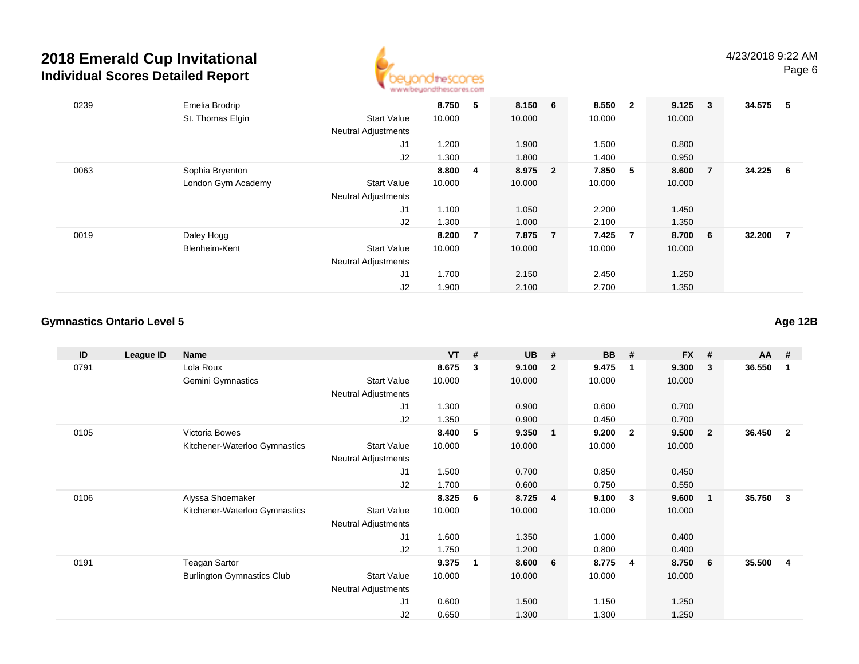

| 0239 | Emelia Brodrip     |                            | 8.750  | 5              | 8.150 6 |                         | 8.550  | $\overline{\mathbf{2}}$ | 9.125  | $\overline{\mathbf{3}}$ | 34.575 | -5 |
|------|--------------------|----------------------------|--------|----------------|---------|-------------------------|--------|-------------------------|--------|-------------------------|--------|----|
|      | St. Thomas Elgin   | <b>Start Value</b>         | 10.000 |                | 10.000  |                         | 10.000 |                         | 10.000 |                         |        |    |
|      |                    | <b>Neutral Adjustments</b> |        |                |         |                         |        |                         |        |                         |        |    |
|      |                    | J <sub>1</sub>             | 1.200  |                | 1.900   |                         | 1.500  |                         | 0.800  |                         |        |    |
|      |                    | J2                         | 1.300  |                | 1.800   |                         | 1.400  |                         | 0.950  |                         |        |    |
| 0063 | Sophia Bryenton    |                            | 8.800  | $\overline{4}$ | 8.975   | $\overline{\mathbf{2}}$ | 7.850  | 5 <sub>5</sub>          | 8.600  | - 7                     | 34.225 | -6 |
|      | London Gym Academy | <b>Start Value</b>         | 10.000 |                | 10.000  |                         | 10.000 |                         | 10.000 |                         |        |    |
|      |                    | <b>Neutral Adjustments</b> |        |                |         |                         |        |                         |        |                         |        |    |
|      |                    | J1                         | 1.100  |                | 1.050   |                         | 2.200  |                         | 1.450  |                         |        |    |
|      |                    | J2                         | 1.300  |                | 1.000   |                         | 2.100  |                         | 1.350  |                         |        |    |
| 0019 | Daley Hogg         |                            | 8.200  | $\overline{7}$ | 7.875   | $\overline{7}$          | 7.425  | $\overline{7}$          | 8.700  | 6                       | 32.200 | 7  |
|      | Blenheim-Kent      | <b>Start Value</b>         | 10.000 |                | 10.000  |                         | 10.000 |                         | 10.000 |                         |        |    |
|      |                    | <b>Neutral Adjustments</b> |        |                |         |                         |        |                         |        |                         |        |    |
|      |                    | J <sub>1</sub>             | 1.700  |                | 2.150   |                         | 2.450  |                         | 1.250  |                         |        |    |
|      |                    | J2                         | 1.900  |                | 2.100   |                         | 2.700  |                         | 1.350  |                         |        |    |

#### **Gymnastics Ontario Level 5**

**ID League ID Name VT # UB # BB # FX # AA #** 0791 Lola Roux **8.675 <sup>3</sup> 9.100 <sup>2</sup> 9.475 <sup>1</sup> 9.300 <sup>3</sup> 36.550 <sup>1</sup>** Gemini Gymnastics Start Valuee 10.000 10.000 10.000 10.000 Neutral Adjustments J1 1.300 0.900 0.600 0.700 J2 1.350 0.900 0.450 0.700 0105 Victoria Bowes **8.400 <sup>5</sup> 9.350 <sup>1</sup> 9.200 <sup>2</sup> 9.500 <sup>2</sup> 36.450 <sup>2</sup>** Kitchener-Waterloo Gymnastics Start Valuee 10.000 10.000 10.000 10.000 Neutral Adjustments J1 1.500 0.700 0.850 0.450 J2 1.700 0.600 0.750 0.550 0106 Alyssa Shoemaker **8.325 <sup>6</sup> 8.725 <sup>4</sup> 9.100 <sup>3</sup> 9.600 <sup>1</sup> 35.750 <sup>3</sup>** Kitchener-Waterloo Gymnastics Start Valuee 10.000 10.000 10.000 10.000 Neutral Adjustments J1 1.600 1.350 1.000 0.400 J2 1.750 1.200 0.800 0.400 0191 Teagan Sartor **9.375 <sup>1</sup> 8.600 <sup>6</sup> 8.775 <sup>4</sup> 8.750 <sup>6</sup> 35.500 <sup>4</sup>** Burlington Gymnastics Clubb 3tart Value 10.000 10.000 10.000 10.000 10.000 Neutral Adjustments J1 0.600 1.500 1.150 1.250 J20.650 1.300 1.300 1.250

**Age 12B**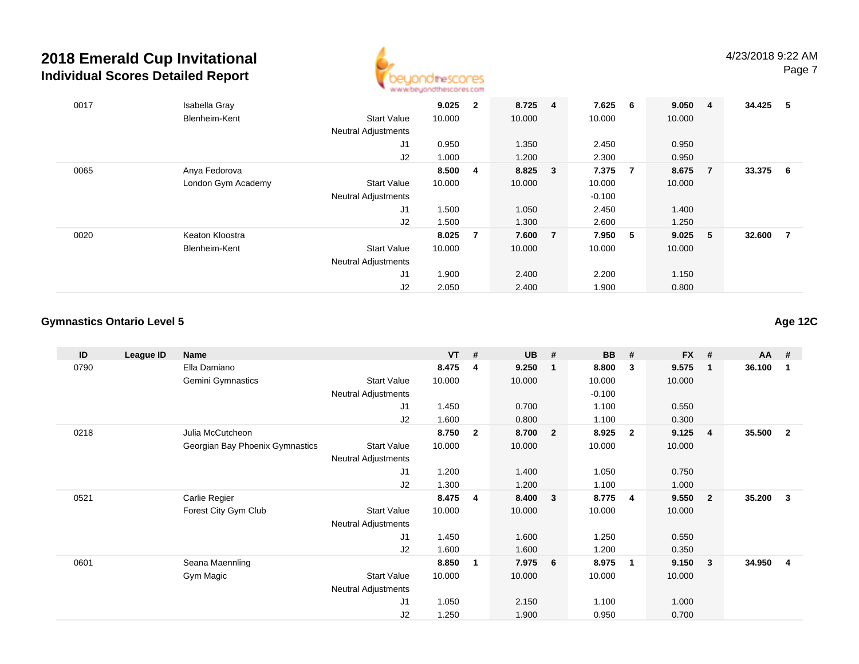

| 0017 | Isabella Gray      |                            | 9.025  | $\mathbf{2}$   | 8.725 4 |                | 7.625    | 6 <sup>6</sup> | 9.050  | $\overline{\mathbf{4}}$ | 34.425 | - 5 |
|------|--------------------|----------------------------|--------|----------------|---------|----------------|----------|----------------|--------|-------------------------|--------|-----|
|      | Blenheim-Kent      | <b>Start Value</b>         | 10.000 |                | 10.000  |                | 10.000   |                | 10.000 |                         |        |     |
|      |                    | <b>Neutral Adjustments</b> |        |                |         |                |          |                |        |                         |        |     |
|      |                    | J1                         | 0.950  |                | 1.350   |                | 2.450    |                | 0.950  |                         |        |     |
|      |                    | J2                         | 1.000  |                | 1.200   |                | 2.300    |                | 0.950  |                         |        |     |
| 0065 | Anya Fedorova      |                            | 8.500  | $\overline{4}$ | 8.825 3 |                | 7.375    | $\overline{7}$ | 8.675  | $\overline{7}$          | 33.375 | - 6 |
|      | London Gym Academy | <b>Start Value</b>         | 10.000 |                | 10.000  |                | 10.000   |                | 10.000 |                         |        |     |
|      |                    | <b>Neutral Adjustments</b> |        |                |         |                | $-0.100$ |                |        |                         |        |     |
|      |                    | J <sub>1</sub>             | 1.500  |                | 1.050   |                | 2.450    |                | 1.400  |                         |        |     |
|      |                    | J2                         | 1.500  |                | 1.300   |                | 2.600    |                | 1.250  |                         |        |     |
| 0020 | Keaton Kloostra    |                            | 8.025  | $\overline{7}$ | 7.600   | $\overline{7}$ | 7.950    | - 5            | 9.025  | - 5                     | 32.600 | - 7 |
|      | Blenheim-Kent      | <b>Start Value</b>         | 10.000 |                | 10.000  |                | 10.000   |                | 10.000 |                         |        |     |
|      |                    | <b>Neutral Adjustments</b> |        |                |         |                |          |                |        |                         |        |     |
|      |                    | J1                         | 1.900  |                | 2.400   |                | 2.200    |                | 1.150  |                         |        |     |
|      |                    | J2                         | 2.050  |                | 2.400   |                | 1.900    |                | 0.800  |                         |        |     |

#### **Gymnastics Ontario Level 5**

**ID League ID Name VT # UB # BB # FX # AA #** 0790 Ella Damiano **8.475 <sup>4</sup> 9.250 <sup>1</sup> 8.800 <sup>3</sup> 9.575 <sup>1</sup> 36.100 <sup>1</sup>** Gemini Gymnastics Start Valuee 10.000 10.000 10.000 10.000 Neutral Adjustments $-0.100$ 1.100 J1 1.450 0.700 1.100 0.550 J2 1.600 0.800 1.100 0.300 0218 Julia McCutcheon **8.750 <sup>2</sup> 8.700 <sup>2</sup> 8.925 <sup>2</sup> 9.125 <sup>4</sup> 35.500 <sup>2</sup>** Georgian Bay Phoenix Gymnastics Start Valuee 10.000 10.000 10.000 10.000 Neutral Adjustments J1 1.200 1.400 1.050 0.750 J2 1.300 1.200 1.100 1.000 0521 Carlie Regier **8.475 <sup>4</sup> 8.400 <sup>3</sup> 8.775 <sup>4</sup> 9.550 <sup>2</sup> 35.200 <sup>3</sup>** Forest City Gym Club Start Value 10.000 10.000 10.000 10.000 Neutral Adjustments J1 1.450 1.600 1.250 0.550 J22 1.600 1.600 1.200 0.350 0601 Seana Maennling **8.850 <sup>1</sup> 7.975 <sup>6</sup> 8.975 <sup>1</sup> 9.150 <sup>3</sup> 34.950 <sup>4</sup>** Gym Magic Start Valuee 10.000 10.000 10.000 10.000 Neutral Adjustments J1 1.050 2.150 1.100 1.000 J21.250 1.900 0.950 0.700

**Age 12C**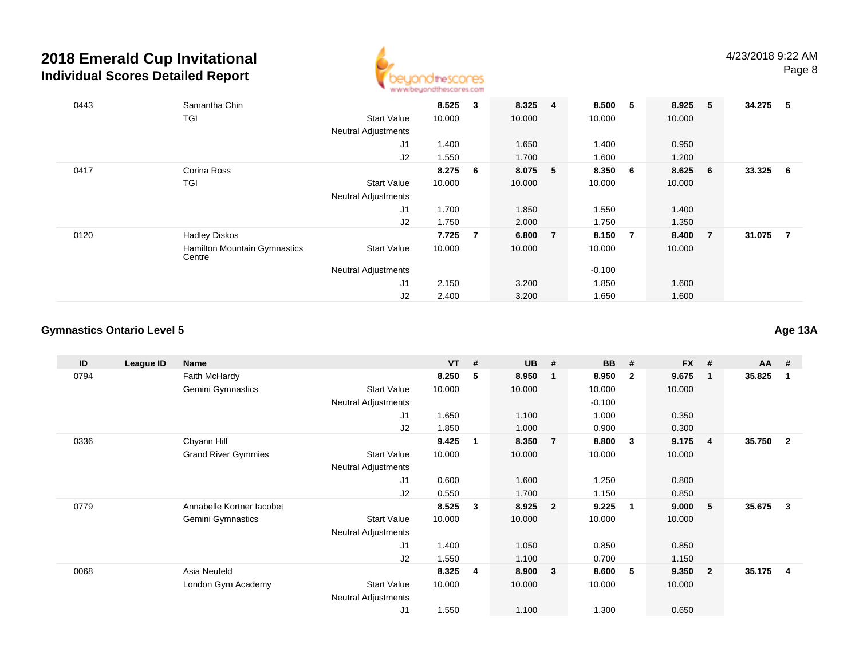

| 0443 | Samantha Chin                          |                            | 8.525  | $\mathbf{3}$   | 8.325 4 |                | 8.500    | 5              | 8.925  | $-5$           | 34.275 | - 5 |
|------|----------------------------------------|----------------------------|--------|----------------|---------|----------------|----------|----------------|--------|----------------|--------|-----|
|      | <b>TGI</b>                             | <b>Start Value</b>         | 10.000 |                | 10.000  |                | 10.000   |                | 10.000 |                |        |     |
|      |                                        | <b>Neutral Adjustments</b> |        |                |         |                |          |                |        |                |        |     |
|      |                                        | J1                         | 1.400  |                | 1.650   |                | 1.400    |                | 0.950  |                |        |     |
|      |                                        | J2                         | 1.550  |                | 1.700   |                | 1.600    |                | 1.200  |                |        |     |
| 0417 | Corina Ross                            |                            | 8.275  | - 6            | 8.075   | 5              | 8.350    | 6              | 8.625  | - 6            | 33.325 | - 6 |
|      | TGI                                    | <b>Start Value</b>         | 10.000 |                | 10.000  |                | 10.000   |                | 10.000 |                |        |     |
|      |                                        | <b>Neutral Adjustments</b> |        |                |         |                |          |                |        |                |        |     |
|      |                                        | J <sub>1</sub>             | 1.700  |                | 1.850   |                | 1.550    |                | 1.400  |                |        |     |
|      |                                        | J2                         | 1.750  |                | 2.000   |                | 1.750    |                | 1.350  |                |        |     |
| 0120 | <b>Hadley Diskos</b>                   |                            | 7.725  | $\overline{7}$ | 6.800   | $\overline{7}$ | 8.150    | $\overline{7}$ | 8.400  | $\overline{7}$ | 31.075 | - 7 |
|      | Hamilton Mountain Gymnastics<br>Centre | <b>Start Value</b>         | 10.000 |                | 10.000  |                | 10.000   |                | 10.000 |                |        |     |
|      |                                        | <b>Neutral Adjustments</b> |        |                |         |                | $-0.100$ |                |        |                |        |     |
|      |                                        | J <sub>1</sub>             | 2.150  |                | 3.200   |                | 1.850    |                | 1.600  |                |        |     |
|      |                                        | J2                         | 2.400  |                | 3.200   |                | 1.650    |                | 1.600  |                |        |     |

#### **Gymnastics Ontario Level 5**

**ID League ID Name VT # UB # BB # FX # AA #** 0794 Faith McHardy **8.250 <sup>5</sup> 8.950 <sup>1</sup> 8.950 <sup>2</sup> 9.675 <sup>1</sup> 35.825 <sup>1</sup>** Gemini Gymnastics Start Valuee 10.000 10.000 10.000 10.000 Neutral Adjustments $-0.100$ 1.000 J1 1.650 1.100 1.000 0.350 J2 1.850 1.000 0.900 0.300 0336 Chyann Hill **9.425 <sup>1</sup> 8.350 <sup>7</sup> 8.800 <sup>3</sup> 9.175 <sup>4</sup> 35.750 <sup>2</sup>** Grand River Gymmies Start Valuee 10.000 10.000 10.000 10.000 Neutral Adjustments J1 0.600 1.600 1.250 0.800 J2 0.550 1.700 1.150 0.850 0779 Annabelle Kortner Iacobet **8.525 <sup>3</sup> 8.925 <sup>2</sup> 9.225 <sup>1</sup> 9.000 <sup>5</sup> 35.675 <sup>3</sup>** Gemini Gymnastics Start Valuee 10.000 10.000 10.000 10.000 Neutral Adjustments J1 1.400 1.050 0.850 0.850 J2 1.550 1.100 0.700 1.150 0068 Asia Neufeld **8.325 <sup>4</sup> 8.900 <sup>3</sup> 8.600 <sup>5</sup> 9.350 <sup>2</sup> 35.175 <sup>4</sup>** London Gym Academy Start Valuee 10.000 10.000 10.000 10.000 Neutral Adjustments J11.550 1.100 1.300 0.650

**Age 13A**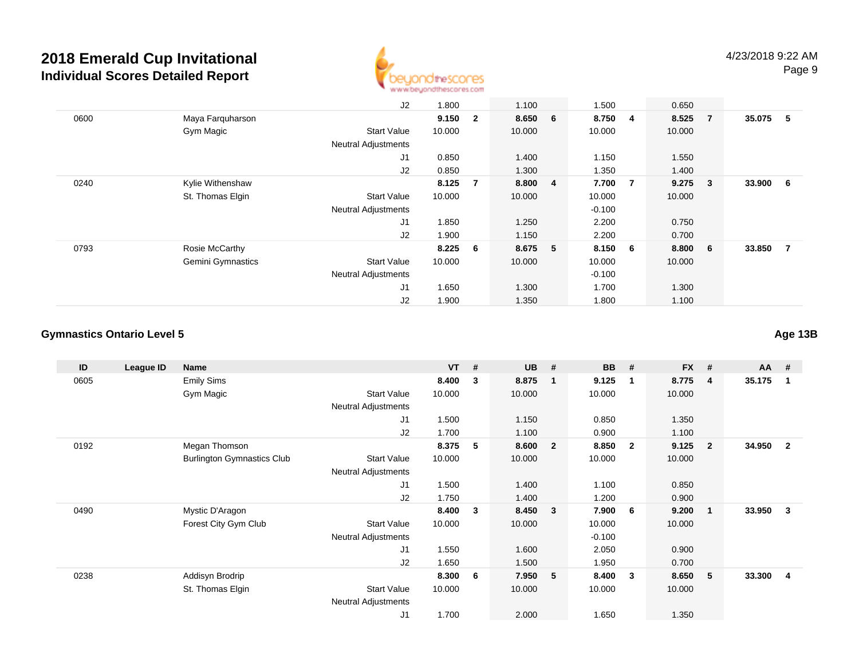

|      |                          | J2                         | 1.800  |                | 1.100   | 1.500    |                | 0.650   |                         |          |                |
|------|--------------------------|----------------------------|--------|----------------|---------|----------|----------------|---------|-------------------------|----------|----------------|
| 0600 | Maya Farquharson         |                            | 9.150  | $\overline{2}$ | 8.650 6 | 8.750    | 4              | 8.525   | $\overline{7}$          | 35.075   | - 5            |
|      | Gym Magic                | <b>Start Value</b>         | 10.000 |                | 10.000  | 10.000   |                | 10.000  |                         |          |                |
|      |                          | <b>Neutral Adjustments</b> |        |                |         |          |                |         |                         |          |                |
|      |                          | J1                         | 0.850  |                | 1.400   | 1.150    |                | 1.550   |                         |          |                |
|      |                          | J2                         | 0.850  |                | 1.300   | 1.350    |                | 1.400   |                         |          |                |
| 0240 | Kylie Withenshaw         |                            | 8.125  | 7              | 8.800 4 | 7.700    | $\overline{7}$ | 9.275   | $\overline{\mathbf{3}}$ | 33.900 6 |                |
|      | St. Thomas Elgin         | <b>Start Value</b>         | 10.000 |                | 10.000  | 10.000   |                | 10.000  |                         |          |                |
|      |                          | <b>Neutral Adjustments</b> |        |                |         | $-0.100$ |                |         |                         |          |                |
|      |                          | J1                         | 1.850  |                | 1.250   | 2.200    |                | 0.750   |                         |          |                |
|      |                          | J2                         | 1.900  |                | 1.150   | 2.200    |                | 0.700   |                         |          |                |
| 0793 | Rosie McCarthy           |                            | 8.225  | - 6            | 8.675 5 | 8.150 6  |                | 8.800 6 |                         | 33.850   | $\overline{7}$ |
|      | <b>Gemini Gymnastics</b> | <b>Start Value</b>         | 10.000 |                | 10.000  | 10.000   |                | 10.000  |                         |          |                |
|      |                          | <b>Neutral Adjustments</b> |        |                |         | $-0.100$ |                |         |                         |          |                |
|      |                          | J1                         | 1.650  |                | 1.300   | 1.700    |                | 1.300   |                         |          |                |
|      |                          | J2                         | 1.900  |                | 1.350   | 1.800    |                | 1.100   |                         |          |                |

#### **Gymnastics Ontario Level 5**

**ID League ID Name VT # UB # BB # FX # AA #** 0605 Emily Sims **8.400 <sup>3</sup> 8.875 <sup>1</sup> 9.125 <sup>1</sup> 8.775 <sup>4</sup> 35.175 <sup>1</sup>** Gym Magic Start Valuee 10.000 10.000 10.000 10.000 Neutral Adjustments J1 1.500 1.150 0.850 1.350 J2 1.700 1.100 0.900 1.100 0192 Megan Thomson **8.375 <sup>5</sup> 8.600 <sup>2</sup> 8.850 <sup>2</sup> 9.125 <sup>2</sup> 34.950 <sup>2</sup>** Burlington Gymnastics Clubb 3tart Value 10.000 10.000 10.000 10.000 10.000 Neutral Adjustments J1 1.500 1.400 1.100 0.850 J2 1.750 1.400 1.200 0.900 0490 Mystic D'Aragon **8.400 <sup>3</sup> 8.450 <sup>3</sup> 7.900 <sup>6</sup> 9.200 <sup>1</sup> 33.950 <sup>3</sup>** Forest City Gym Club Start Value 10.000 10.000 10.000 10.000 Neutral Adjustments $-0.100$ 2.050 J1 1.550 1.600 2.050 0.900 J2 1.650 1.500 1.950 0.700 0238 Addisyn Brodrip **8.300 <sup>6</sup> 7.950 <sup>5</sup> 8.400 <sup>3</sup> 8.650 <sup>5</sup> 33.300 <sup>4</sup>** St. Thomas Elgin Start Value 10.000 10.000 10.000 10.000 Neutral Adjustments J11.700 2.000 1.650 1.350

**Age 13B**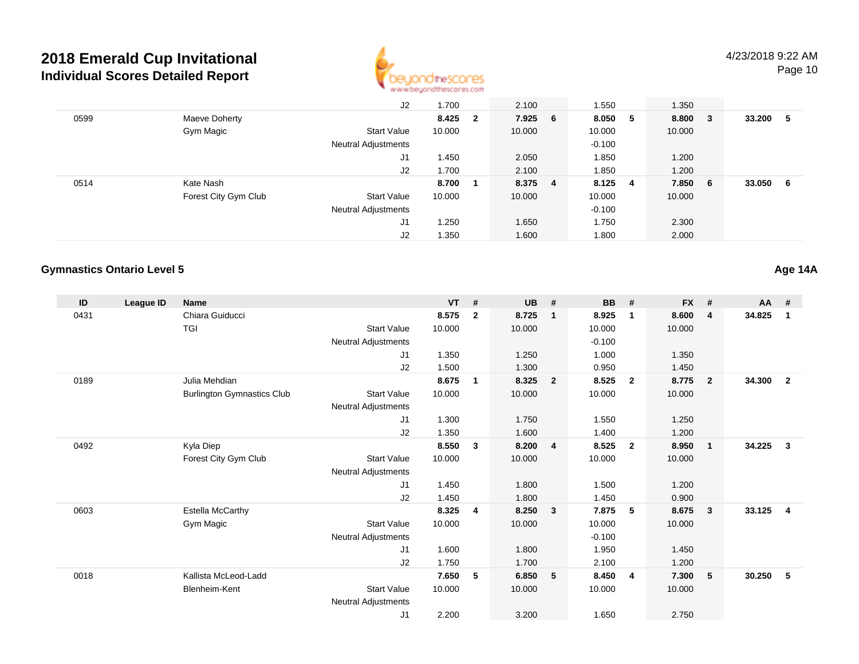

Page 10

|      |                      | J <sub>2</sub>             | 1.700  |                         | 2.100   | 1.550    |   | 1.350   |     |        |     |
|------|----------------------|----------------------------|--------|-------------------------|---------|----------|---|---------|-----|--------|-----|
| 0599 | Maeve Doherty        |                            | 8.425  | $\overline{\mathbf{2}}$ | 7.925 6 | 8.050    | 5 | 8.800   | - 3 | 33.200 | - 5 |
|      | Gym Magic            | <b>Start Value</b>         | 10.000 |                         | 10.000  | 10.000   |   | 10.000  |     |        |     |
|      |                      | <b>Neutral Adjustments</b> |        |                         |         | $-0.100$ |   |         |     |        |     |
|      |                      | J1                         | 1.450  |                         | 2.050   | 1.850    |   | 1.200   |     |        |     |
|      |                      | J2                         | 1.700  |                         | 2.100   | 1.850    |   | 1.200   |     |        |     |
| 0514 | Kate Nash            |                            | 8.700  |                         | 8.375 4 | 8.125 4  |   | 7.850 6 |     | 33.050 | - 6 |
|      | Forest City Gym Club | <b>Start Value</b>         | 10.000 |                         | 10.000  | 10.000   |   | 10.000  |     |        |     |
|      |                      | <b>Neutral Adjustments</b> |        |                         |         | $-0.100$ |   |         |     |        |     |
|      |                      | J1                         | 1.250  |                         | 1.650   | 1.750    |   | 2.300   |     |        |     |
|      |                      | J2                         | 1.350  |                         | 1.600   | 1.800    |   | 2.000   |     |        |     |

#### **Gymnastics Ontario Level 5**

**Age 14A**

| ID   | League ID | <b>Name</b>                       |                     | <b>VT</b> | #              | <b>UB</b> | #                       | <b>BB</b> | #              | <b>FX</b> | #              | <b>AA</b> | #              |
|------|-----------|-----------------------------------|---------------------|-----------|----------------|-----------|-------------------------|-----------|----------------|-----------|----------------|-----------|----------------|
| 0431 |           | Chiara Guiducci                   |                     | 8.575     | $\overline{2}$ | 8.725     | $\overline{1}$          | 8.925     | $\mathbf{1}$   | 8.600     | 4              | 34.825    | $\mathbf 1$    |
|      |           | <b>TGI</b>                        | <b>Start Value</b>  | 10.000    |                | 10.000    |                         | 10.000    |                | 10.000    |                |           |                |
|      |           |                                   | Neutral Adjustments |           |                |           |                         | $-0.100$  |                |           |                |           |                |
|      |           |                                   | J <sub>1</sub>      | 1.350     |                | 1.250     |                         | 1.000     |                | 1.350     |                |           |                |
|      |           |                                   | J2                  | 1.500     |                | 1.300     |                         | 0.950     |                | 1.450     |                |           |                |
| 0189 |           | Julia Mehdian                     |                     | 8.675     | $\overline{1}$ | 8.325     | $\overline{\mathbf{2}}$ | 8.525     | $\overline{2}$ | 8.775     | $\overline{2}$ | 34.300    | $\overline{2}$ |
|      |           | <b>Burlington Gymnastics Club</b> | <b>Start Value</b>  | 10.000    |                | 10.000    |                         | 10.000    |                | 10.000    |                |           |                |
|      |           |                                   | Neutral Adjustments |           |                |           |                         |           |                |           |                |           |                |
|      |           |                                   | J <sub>1</sub>      | 1.300     |                | 1.750     |                         | 1.550     |                | 1.250     |                |           |                |
|      |           |                                   | J2                  | 1.350     |                | 1.600     |                         | 1.400     |                | 1.200     |                |           |                |
| 0492 |           | Kyla Diep                         |                     | 8.550     | 3              | 8.200     | $\overline{4}$          | 8.525     | $\overline{2}$ | 8.950     | $\mathbf{1}$   | 34.225    | 3              |
|      |           | Forest City Gym Club              | <b>Start Value</b>  | 10.000    |                | 10.000    |                         | 10.000    |                | 10.000    |                |           |                |
|      |           |                                   | Neutral Adjustments |           |                |           |                         |           |                |           |                |           |                |
|      |           |                                   | J1                  | 1.450     |                | 1.800     |                         | 1.500     |                | 1.200     |                |           |                |
|      |           |                                   | J2                  | 1.450     |                | 1.800     |                         | 1.450     |                | 0.900     |                |           |                |
| 0603 |           | <b>Estella McCarthy</b>           |                     | 8.325     | 4              | 8.250     | $\overline{\mathbf{3}}$ | 7.875     | -5             | 8.675     | 3              | 33.125    | 4              |
|      |           | Gym Magic                         | <b>Start Value</b>  | 10.000    |                | 10.000    |                         | 10.000    |                | 10.000    |                |           |                |
|      |           |                                   | Neutral Adjustments |           |                |           |                         | $-0.100$  |                |           |                |           |                |
|      |           |                                   | J1                  | 1.600     |                | 1.800     |                         | 1.950     |                | 1.450     |                |           |                |
|      |           |                                   | J <sub>2</sub>      | 1.750     |                | 1.700     |                         | 2.100     |                | 1.200     |                |           |                |
| 0018 |           | Kallista McLeod-Ladd              |                     | 7.650     | 5              | 6.850     | 5                       | 8.450     | $\overline{4}$ | 7.300     | 5              | 30.250    | 5              |
|      |           | <b>Blenheim-Kent</b>              | <b>Start Value</b>  | 10.000    |                | 10.000    |                         | 10.000    |                | 10.000    |                |           |                |
|      |           |                                   | Neutral Adjustments |           |                |           |                         |           |                |           |                |           |                |
|      |           |                                   | J <sub>1</sub>      | 2.200     |                | 3.200     |                         | 1.650     |                | 2.750     |                |           |                |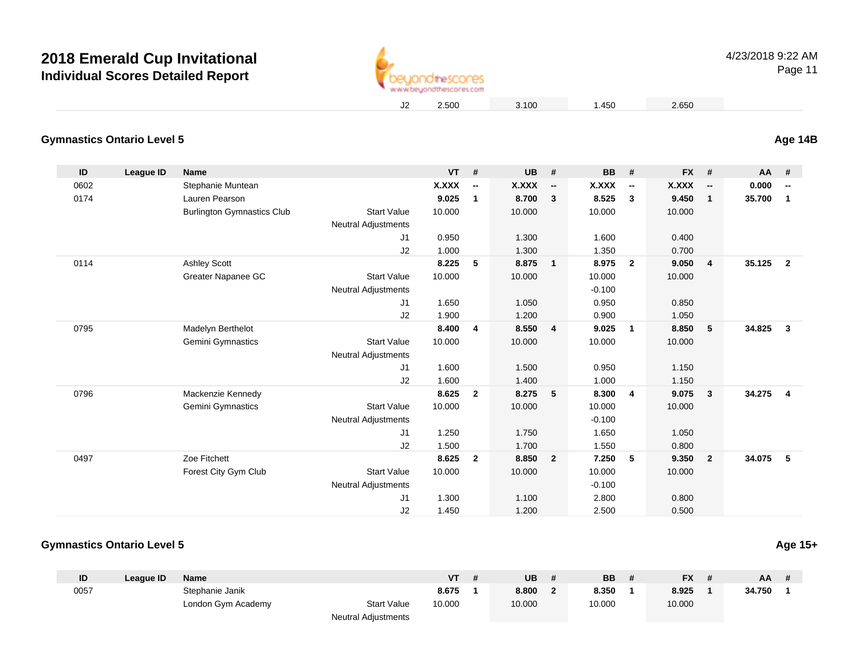

### 4/23/2018 9:22 AM

Page 11

#### **Gymnastics Ontario Level 5Age 14B**

| ID   | League ID | <b>Name</b>                       |                            | VT           | #                        | <b>UB</b>    | #                        | <b>BB</b> | #                        | <b>FX</b>    | #                        | AA #   |                          |
|------|-----------|-----------------------------------|----------------------------|--------------|--------------------------|--------------|--------------------------|-----------|--------------------------|--------------|--------------------------|--------|--------------------------|
| 0602 |           | Stephanie Muntean                 |                            | <b>X.XXX</b> | $\overline{\phantom{a}}$ | <b>X.XXX</b> | $\overline{\phantom{a}}$ | X.XXX     | $\overline{\phantom{a}}$ | <b>X.XXX</b> | $\overline{\phantom{a}}$ | 0.000  | $\overline{\phantom{a}}$ |
| 0174 |           | Lauren Pearson                    |                            | 9.025        | $\mathbf{1}$             | 8.700        | $\overline{\mathbf{3}}$  | 8.525     | $\mathbf{3}$             | 9.450        | $\mathbf{1}$             | 35.700 | $\mathbf{1}$             |
|      |           | <b>Burlington Gymnastics Club</b> | <b>Start Value</b>         | 10.000       |                          | 10.000       |                          | 10.000    |                          | 10.000       |                          |        |                          |
|      |           |                                   | <b>Neutral Adjustments</b> |              |                          |              |                          |           |                          |              |                          |        |                          |
|      |           |                                   | J <sub>1</sub>             | 0.950        |                          | 1.300        |                          | 1.600     |                          | 0.400        |                          |        |                          |
|      |           |                                   | J2                         | 1.000        |                          | 1.300        |                          | 1.350     |                          | 0.700        |                          |        |                          |
| 0114 |           | <b>Ashley Scott</b>               |                            | 8.225        | 5                        | 8.875        | $\overline{1}$           | 8.975     | $\overline{2}$           | 9.050        | $\overline{4}$           | 35.125 | $\overline{2}$           |
|      |           | Greater Napanee GC                | <b>Start Value</b>         | 10.000       |                          | 10.000       |                          | 10.000    |                          | 10.000       |                          |        |                          |
|      |           |                                   | <b>Neutral Adjustments</b> |              |                          |              |                          | $-0.100$  |                          |              |                          |        |                          |
|      |           |                                   | J1                         | 1.650        |                          | 1.050        |                          | 0.950     |                          | 0.850        |                          |        |                          |
|      |           |                                   | J2                         | 1.900        |                          | 1.200        |                          | 0.900     |                          | 1.050        |                          |        |                          |
| 0795 |           | Madelyn Berthelot                 |                            | 8.400        | 4                        | 8.550        | $\overline{4}$           | 9.025     | $\overline{1}$           | 8.850        | 5                        | 34.825 | $\mathbf{3}$             |
|      |           | Gemini Gymnastics                 | <b>Start Value</b>         | 10.000       |                          | 10.000       |                          | 10.000    |                          | 10.000       |                          |        |                          |
|      |           |                                   | <b>Neutral Adjustments</b> |              |                          |              |                          |           |                          |              |                          |        |                          |
|      |           |                                   | J <sub>1</sub>             | 1.600        |                          | 1.500        |                          | 0.950     |                          | 1.150        |                          |        |                          |
|      |           |                                   | J2                         | 1.600        |                          | 1.400        |                          | 1.000     |                          | 1.150        |                          |        |                          |
| 0796 |           | Mackenzie Kennedy                 |                            | 8.625        | $\overline{2}$           | 8.275        | $-5$                     | 8.300     | $\overline{4}$           | 9.075        | $\mathbf{3}$             | 34.275 | $\overline{4}$           |
|      |           | Gemini Gymnastics                 | <b>Start Value</b>         | 10.000       |                          | 10.000       |                          | 10.000    |                          | 10.000       |                          |        |                          |
|      |           |                                   | <b>Neutral Adjustments</b> |              |                          |              |                          | $-0.100$  |                          |              |                          |        |                          |
|      |           |                                   | J1                         | 1.250        |                          | 1.750        |                          | 1.650     |                          | 1.050        |                          |        |                          |
|      |           |                                   | J2                         | 1.500        |                          | 1.700        |                          | 1.550     |                          | 0.800        |                          |        |                          |
| 0497 |           | Zoe Fitchett                      |                            | 8.625        | $\overline{2}$           | 8.850        | $\overline{2}$           | 7.250     | 5                        | 9.350        | $\overline{2}$           | 34.075 | 5                        |
|      |           | Forest City Gym Club              | <b>Start Value</b>         | 10.000       |                          | 10.000       |                          | 10.000    |                          | 10.000       |                          |        |                          |
|      |           |                                   | <b>Neutral Adjustments</b> |              |                          |              |                          | $-0.100$  |                          |              |                          |        |                          |
|      |           |                                   | J <sub>1</sub>             | 1.300        |                          | 1.100        |                          | 2.800     |                          | 0.800        |                          |        |                          |
|      |           |                                   | J2                         | 1.450        |                          | 1.200        |                          | 2.500     |                          | 0.500        |                          |        |                          |

#### **Gymnastics Ontario Level 5**

| ID   | Leaque ID | Name               |                            | VT     | <b>UB</b> | <b>BB</b> | <b>FX</b> | AA     |  |
|------|-----------|--------------------|----------------------------|--------|-----------|-----------|-----------|--------|--|
| 0057 |           | Stephanie Janik    |                            | 8.675  | 8.800     | 8.350     | 8.925     | 34.750 |  |
|      |           | London Gym Academy | <b>Start Value</b>         | 10.000 | 10.000    | 10.000    | 10.000    |        |  |
|      |           |                    | <b>Neutral Adjustments</b> |        |           |           |           |        |  |

**Age 15+**